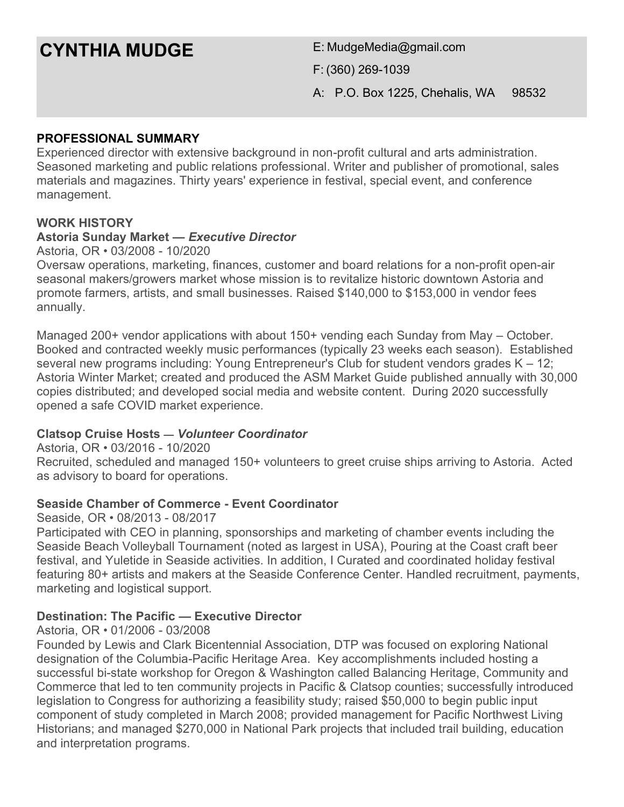# **CYNTHIA MUDGE** E: MudgeMedia@gmail.com

F: (360) 269-1039

A: P.O. Box 1225, Chehalis, WA 98532

## **PROFESSIONAL SUMMARY**

Experienced director with extensive background in non-profit cultural and arts administration. Seasoned marketing and public relations professional. Writer and publisher of promotional, sales materials and magazines. Thirty years' experience in festival, special event, and conference management.

### **WORK HISTORY**

#### **Astoria Sunday Market —** *Executive Director*

Astoria, OR • 03/2008 - 10/2020

Oversaw operations, marketing, finances, customer and board relations for a non-profit open-air seasonal makers/growers market whose mission is to revitalize historic downtown Astoria and promote farmers, artists, and small businesses. Raised \$140,000 to \$153,000 in vendor fees annually.

Managed 200+ vendor applications with about 150+ vending each Sunday from May – October. Booked and contracted weekly music performances (typically 23 weeks each season). Established several new programs including: Young Entrepreneur's Club for student vendors grades K – 12; Astoria Winter Market; created and produced the ASM Market Guide published annually with 30,000 copies distributed; and developed social media and website content. During 2020 successfully opened a safe COVID market experience.

### **Clatsop Cruise Hosts —** *Volunteer Coordinator*

Astoria, OR • 03/2016 - 10/2020 Recruited, scheduled and managed 150+ volunteers to greet cruise ships arriving to Astoria. Acted as advisory to board for operations.

### **Seaside Chamber of Commerce - Event Coordinator**

Seaside, OR • 08/2013 - 08/2017

Participated with CEO in planning, sponsorships and marketing of chamber events including the Seaside Beach Volleyball Tournament (noted as largest in USA), Pouring at the Coast craft beer festival, and Yuletide in Seaside activities. In addition, I Curated and coordinated holiday festival featuring 80+ artists and makers at the Seaside Conference Center. Handled recruitment, payments, marketing and logistical support.

### **Destination: The Pacific — Executive Director**

#### Astoria, OR • 01/2006 - 03/2008

Founded by Lewis and Clark Bicentennial Association, DTP was focused on exploring National designation of the Columbia-Pacific Heritage Area. Key accomplishments included hosting a successful bi-state workshop for Oregon & Washington called Balancing Heritage, Community and Commerce that led to ten community projects in Pacific & Clatsop counties; successfully introduced legislation to Congress for authorizing a feasibility study; raised \$50,000 to begin public input component of study completed in March 2008; provided management for Pacific Northwest Living Historians; and managed \$270,000 in National Park projects that included trail building, education and interpretation programs.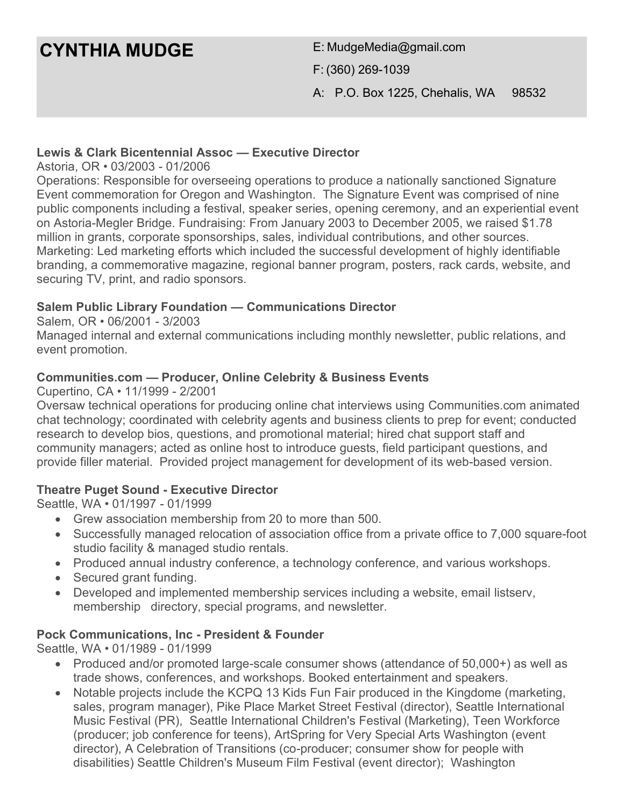## **CYNTHIA MUDGE** E: MudgeMedia@gmail.com

F: (360) 269-1039

A: P.O. Box 1225, Chehalis, WA 98532

## **Lewis & Clark Bicentennial Assoc — Executive Director**

Astoria, OR • 03/2003 - 01/2006

Operations: Responsible for overseeing operations to produce a nationally sanctioned Signature Event commemoration for Oregon and Washington. The Signature Event was comprised of nine public components including a festival, speaker series, opening ceremony, and an experiential event on Astoria-Megler Bridge. Fundraising: From January 2003 to December 2005, we raised \$1.78 million in grants, corporate sponsorships, sales, individual contributions, and other sources. Marketing: Led marketing efforts which included the successful development of highly identifiable branding, a commemorative magazine, regional banner program, posters, rack cards, website, and securing TV, print, and radio sponsors.

## **Salem Public Library Foundation — Communications Director**

Salem, OR • 06/2001 - 3/2003

Managed internal and external communications including monthly newsletter, public relations, and event promotion.

## **Communities.com — Producer, Online Celebrity & Business Events**

Cupertino, CA • 11/1999 - 2/2001

Oversaw technical operations for producing online chat interviews using Communities.com animated chat technology; coordinated with celebrity agents and business clients to prep for event; conducted research to develop bios, questions, and promotional material; hired chat support staff and community managers; acted as online host to introduce guests, field participant questions, and provide filler material. Provided project management for development of its web-based version.

## **Theatre Puget Sound - Executive Director**

Seattle, WA • 01/1997 - 01/1999

- Grew association membership from 20 to more than 500.
- Successfully managed relocation of association office from a private office to 7,000 square-foot studio facility & managed studio rentals.
- Produced annual industry conference, a technology conference, and various workshops.
- Secured grant funding.
- Developed and implemented membership services including a website, email listserv, membership directory, special programs, and newsletter.

## **Pock Communications, Inc - President & Founder**

Seattle, WA • 01/1989 - 01/1999

- Produced and/or promoted large-scale consumer shows (attendance of 50,000+) as well as trade shows, conferences, and workshops. Booked entertainment and speakers.
- Notable projects include the KCPQ 13 Kids Fun Fair produced in the Kingdome (marketing, sales, program manager), Pike Place Market Street Festival (director), Seattle International Music Festival (PR), Seattle International Children's Festival (Marketing), Teen Workforce (producer; job conference for teens), ArtSpring for Very Special Arts Washington (event director), A Celebration of Transitions (co-producer; consumer show for people with disabilities) Seattle Children's Museum Film Festival (event director); Washington